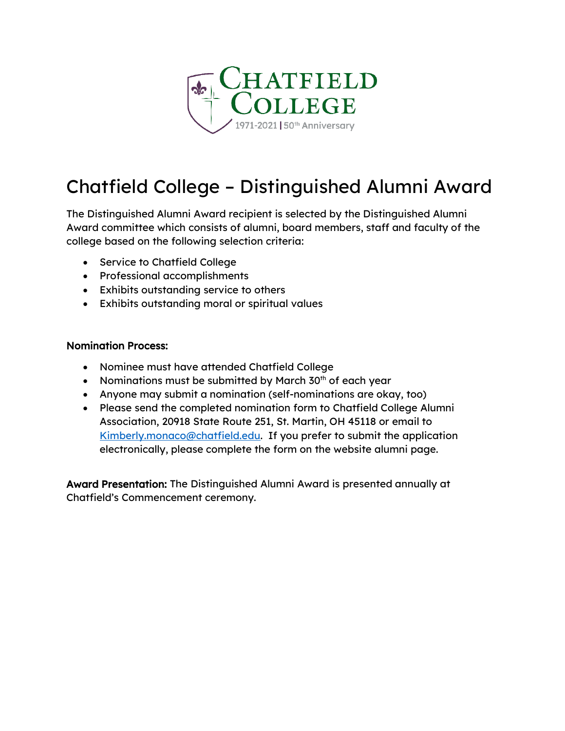

## Chatfield College – Distinguished Alumni Award

The Distinguished Alumni Award recipient is selected by the Distinguished Alumni Award committee which consists of alumni, board members, staff and faculty of the college based on the following selection criteria:

- Service to Chatfield College
- Professional accomplishments
- Exhibits outstanding service to others
- Exhibits outstanding moral or spiritual values

## Nomination Process:

- Nominee must have attended Chatfield College
- Nominations must be submitted by March  $30<sup>th</sup>$  of each year
- Anyone may submit a nomination (self-nominations are okay, too)
- Please send the completed nomination form to Chatfield College Alumni Association, 20918 State Route 251, St. Martin, OH 45118 or email to [Kimberly.monaco@chatfield.edu.](mailto:Kimberly.monaco@chatfield.edu) If you prefer to submit the application electronically, please complete the form on the website alumni page.

Award Presentation: The Distinguished Alumni Award is presented annually at Chatfield's Commencement ceremony.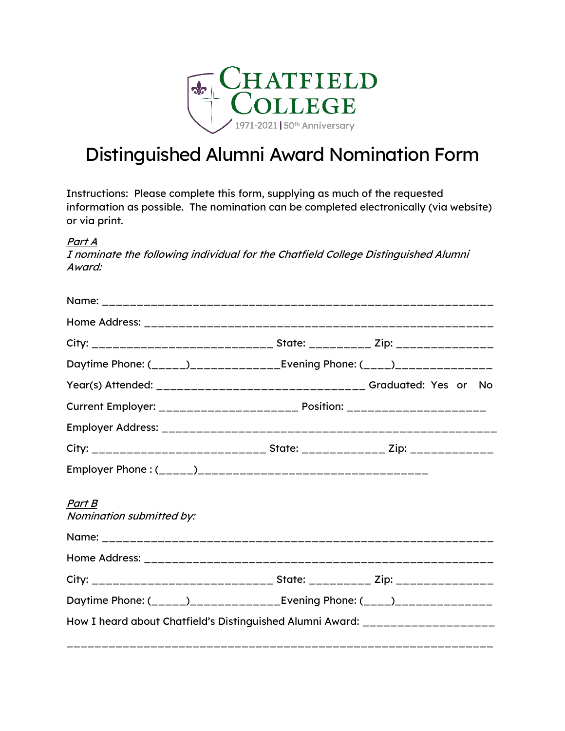

## Distinguished Alumni Award Nomination Form

Instructions: Please complete this form, supplying as much of the requested information as possible. The nomination can be completed electronically (via website) or via print.

Part A

I nominate the following individual for the Chatfield College Distinguished Alumni Award:

| City: __________________________________ State: ___________ Zip: _______________ |  |
|----------------------------------------------------------------------------------|--|
| Daytime Phone: (_____)_______________Evening Phone: (____)_______________        |  |
|                                                                                  |  |
| Current Employer: _______________________ Position: ______________________       |  |
|                                                                                  |  |
| City: _____________________________ State: _____________ Zip: _____________      |  |
|                                                                                  |  |
| Part B<br>Nomination submitted by:                                               |  |
|                                                                                  |  |
|                                                                                  |  |
| City: ______________________________ State: _________ Zip: _______________       |  |
| Daytime Phone: (_____)_______________Evening Phone: (____)______________         |  |
| How I heard about Chatfield's Distinguished Alumni Award: _____________________  |  |